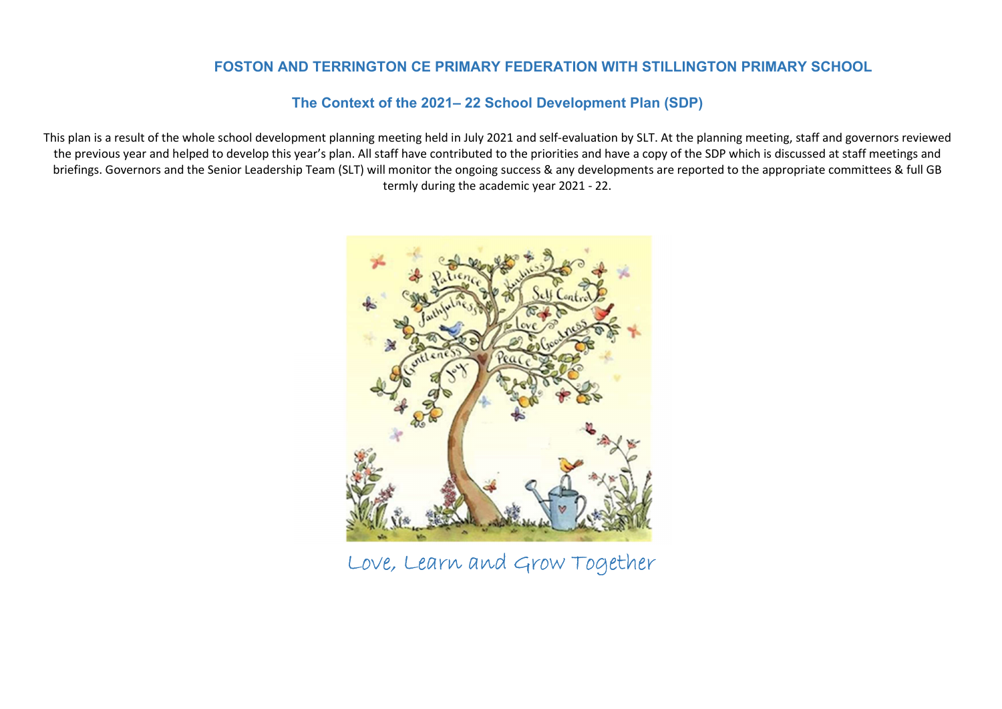### FOSTON AND TERRINGTON CE PRIMARY FEDERATION WITH STILLINGTON PRIMARY SCHOOL

### The Context of the 2021– 22 School Development Plan (SDP)

This plan is a result of the whole school development planning meeting held in July 2021 and self-evaluation by SLT. At the planning meeting, staff and governors reviewed the previous year and helped to develop this year's plan. All staff have contributed to the priorities and have a copy of the SDP which is discussed at staff meetings and briefings. Governors and the Senior Leadership Team (SLT) will monitor the ongoing success & any developments are reported to the appropriate committees & full GB termly during the academic year 2021 - 22.



Love, Learn and Grow Together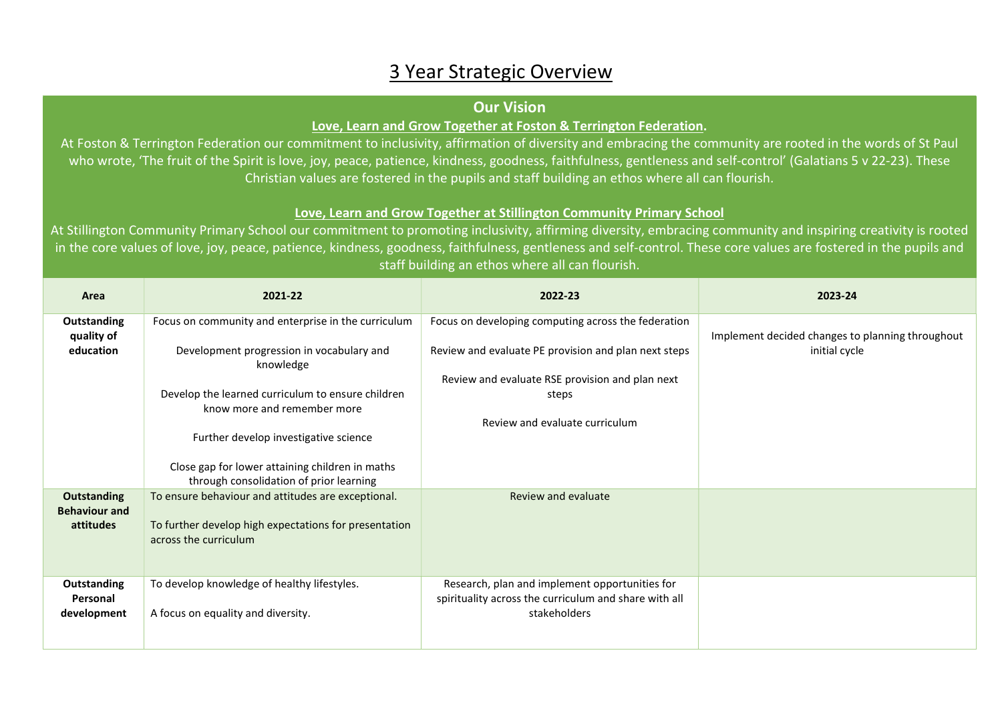## 3 Year Strategic Overview

### Our Vision

### Love, Learn and Grow Together at Foston & Terrington Federation.

At Foston & Terrington Federation our commitment to inclusivity, affirmation of diversity and embracing the community are rooted in the words of St Paul who wrote, 'The fruit of the Spirit is love, joy, peace, patience, kindness, goodness, faithfulness, gentleness and self-control' (Galatians 5 v 22-23). These Christian values are fostered in the pupils and staff building an ethos where all can flourish.

### Love, Learn and Grow Together at Stillington Community Primary School

At Stillington Community Primary School our commitment to promoting inclusivity, affirming diversity, embracing community and inspiring creativity is rooted in the core values of love, joy, peace, patience, kindness, goodness, faithfulness, gentleness and self-control. These core values are fostered in the pupils and staff building an ethos where all can flourish.

| Area                                       | 2021-22                                                                                          | 2022-23                                                                                                     | 2023-24                                                           |
|--------------------------------------------|--------------------------------------------------------------------------------------------------|-------------------------------------------------------------------------------------------------------------|-------------------------------------------------------------------|
| Outstanding<br>quality of<br>education     | Focus on community and enterprise in the curriculum<br>Development progression in vocabulary and | Focus on developing computing across the federation<br>Review and evaluate PE provision and plan next steps | Implement decided changes to planning throughout<br>initial cycle |
|                                            | knowledge                                                                                        |                                                                                                             |                                                                   |
|                                            | Develop the learned curriculum to ensure children<br>know more and remember more                 | Review and evaluate RSE provision and plan next<br>steps                                                    |                                                                   |
|                                            | Further develop investigative science                                                            | Review and evaluate curriculum                                                                              |                                                                   |
|                                            | Close gap for lower attaining children in maths<br>through consolidation of prior learning       |                                                                                                             |                                                                   |
| <b>Outstanding</b><br><b>Behaviour and</b> | To ensure behaviour and attitudes are exceptional.                                               | Review and evaluate                                                                                         |                                                                   |
| attitudes                                  | To further develop high expectations for presentation<br>across the curriculum                   |                                                                                                             |                                                                   |
| Outstanding<br>Personal                    | To develop knowledge of healthy lifestyles.                                                      | Research, plan and implement opportunities for<br>spirituality across the curriculum and share with all     |                                                                   |
| development                                | A focus on equality and diversity.                                                               | stakeholders                                                                                                |                                                                   |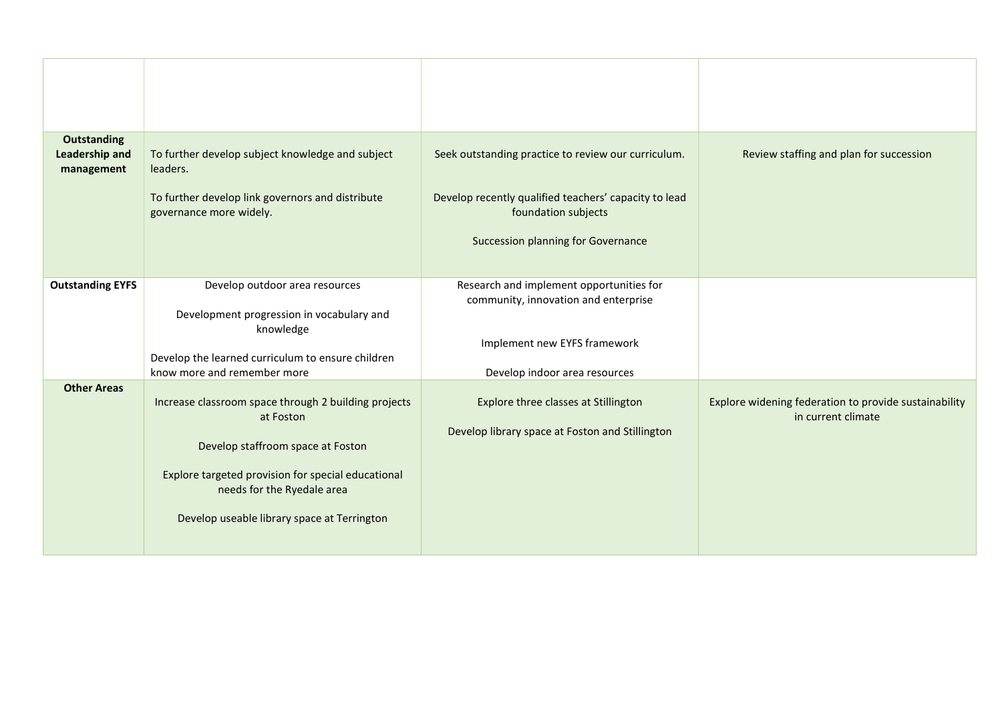| <b>Outstanding</b><br><b>Leadership and</b><br>management | To further develop subject knowledge and subject<br>leaders.<br>To further develop link governors and distribute<br>governance more widely.                                                                                               | Seek outstanding practice to review our curriculum.<br>Develop recently qualified teachers' capacity to lead<br>foundation subjects<br>Succession planning for Governance | Review staffing and plan for succession                                     |
|-----------------------------------------------------------|-------------------------------------------------------------------------------------------------------------------------------------------------------------------------------------------------------------------------------------------|---------------------------------------------------------------------------------------------------------------------------------------------------------------------------|-----------------------------------------------------------------------------|
| <b>Outstanding EYFS</b>                                   | Develop outdoor area resources<br>Development progression in vocabulary and<br>knowledge<br>Develop the learned curriculum to ensure children<br>know more and remember more                                                              | Research and implement opportunities for<br>community, innovation and enterprise<br>Implement new EYFS framework<br>Develop indoor area resources                         |                                                                             |
| <b>Other Areas</b>                                        | Increase classroom space through 2 building projects<br>at Foston<br>Develop staffroom space at Foston<br>Explore targeted provision for special educational<br>needs for the Ryedale area<br>Develop useable library space at Terrington | Explore three classes at Stillington<br>Develop library space at Foston and Stillington                                                                                   | Explore widening federation to provide sustainability<br>in current climate |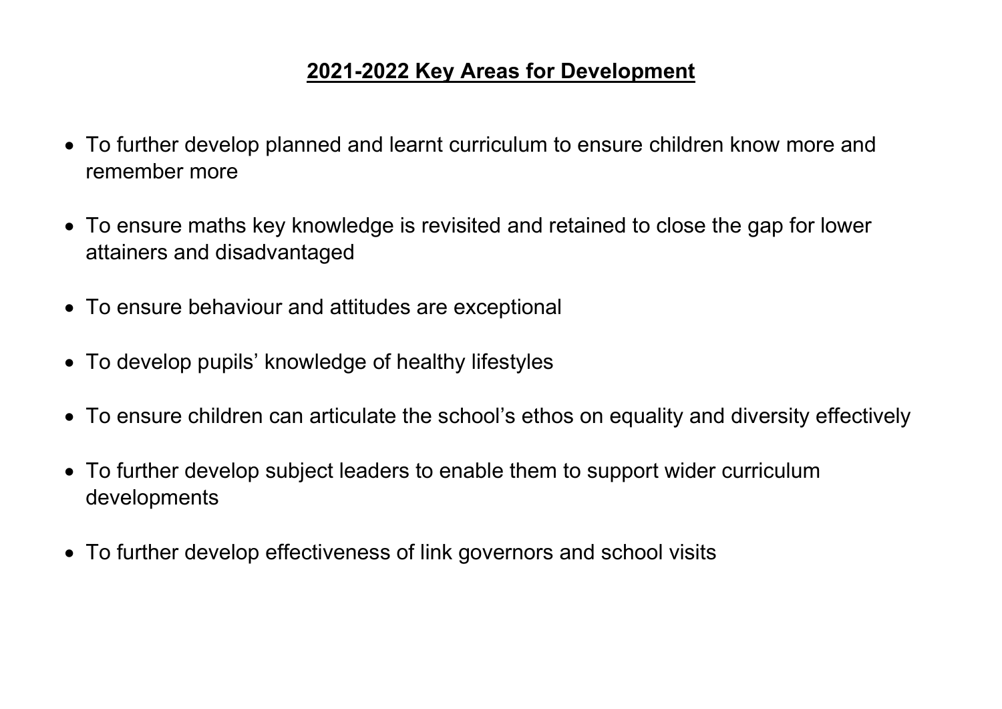# 2021-2022 Key Areas for Development

- To further develop planned and learnt curriculum to ensure children know more and remember more
- To ensure maths key knowledge is revisited and retained to close the gap for lower attainers and disadvantaged
- To ensure behaviour and attitudes are exceptional
- To develop pupils' knowledge of healthy lifestyles
- To ensure children can articulate the school's ethos on equality and diversity effectively
- To further develop subject leaders to enable them to support wider curriculum developments
- To further develop effectiveness of link governors and school visits